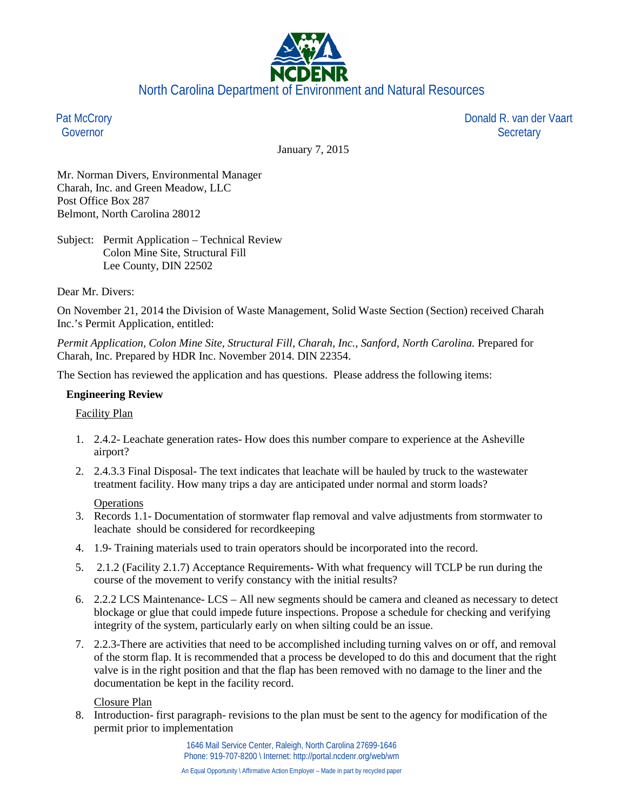

Pat McCrory Governor

 Donald R. van der Vaart **Secretary** 

January 7, 2015

Mr. Norman Divers, Environmental Manager Charah, Inc. and Green Meadow, LLC Post Office Box 287 Belmont, North Carolina 28012

Subject: Permit Application – Technical Review Colon Mine Site, Structural Fill Lee County, DIN 22502

Dear Mr. Divers:

On November 21, 2014 the Division of Waste Management, Solid Waste Section (Section) received Charah Inc.'s Permit Application, entitled:

*Permit Application, Colon Mine Site, Structural Fill, Charah, Inc., Sanford, North Carolina.* Prepared for Charah, Inc. Prepared by HDR Inc. November 2014. DIN 22354.

The Section has reviewed the application and has questions. Please address the following items:

## **Engineering Review**

### Facility Plan

- 1. 2.4.2- Leachate generation rates- How does this number compare to experience at the Asheville airport?
- 2. 2.4.3.3 Final Disposal- The text indicates that leachate will be hauled by truck to the wastewater treatment facility. How many trips a day are anticipated under normal and storm loads?

### **Operations**

- 3. Records 1.1- Documentation of stormwater flap removal and valve adjustments from stormwater to leachate should be considered for recordkeeping
- 4. 1.9- Training materials used to train operators should be incorporated into the record.
- 5. 2.1.2 (Facility 2.1.7) Acceptance Requirements- With what frequency will TCLP be run during the course of the movement to verify constancy with the initial results?
- 6. 2.2.2 LCS Maintenance- LCS All new segments should be camera and cleaned as necessary to detect blockage or glue that could impede future inspections. Propose a schedule for checking and verifying integrity of the system, particularly early on when silting could be an issue.
- 7. 2.2.3-There are activities that need to be accomplished including turning valves on or off, and removal of the storm flap. It is recommended that a process be developed to do this and document that the right valve is in the right position and that the flap has been removed with no damage to the liner and the documentation be kept in the facility record.

### Closure Plan

8. Introduction- first paragraph- revisions to the plan must be sent to the agency for modification of the permit prior to implementation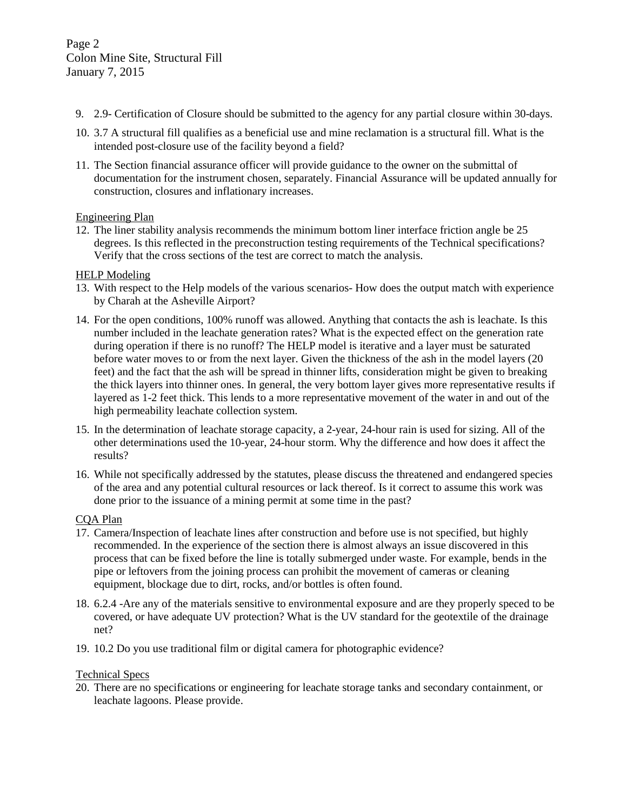- 9. 2.9- Certification of Closure should be submitted to the agency for any partial closure within 30-days.
- 10. 3.7 A structural fill qualifies as a beneficial use and mine reclamation is a structural fill. What is the intended post-closure use of the facility beyond a field?
- 11. The Section financial assurance officer will provide guidance to the owner on the submittal of documentation for the instrument chosen, separately. Financial Assurance will be updated annually for construction, closures and inflationary increases.

## Engineering Plan

12. The liner stability analysis recommends the minimum bottom liner interface friction angle be 25 degrees. Is this reflected in the preconstruction testing requirements of the Technical specifications? Verify that the cross sections of the test are correct to match the analysis.

## HELP Modeling

- 13. With respect to the Help models of the various scenarios- How does the output match with experience by Charah at the Asheville Airport?
- 14. For the open conditions, 100% runoff was allowed. Anything that contacts the ash is leachate. Is this number included in the leachate generation rates? What is the expected effect on the generation rate during operation if there is no runoff? The HELP model is iterative and a layer must be saturated before water moves to or from the next layer. Given the thickness of the ash in the model layers (20 feet) and the fact that the ash will be spread in thinner lifts, consideration might be given to breaking the thick layers into thinner ones. In general, the very bottom layer gives more representative results if layered as 1-2 feet thick. This lends to a more representative movement of the water in and out of the high permeability leachate collection system.
- 15. In the determination of leachate storage capacity, a 2-year, 24-hour rain is used for sizing. All of the other determinations used the 10-year, 24-hour storm. Why the difference and how does it affect the results?
- 16. While not specifically addressed by the statutes, please discuss the threatened and endangered species of the area and any potential cultural resources or lack thereof. Is it correct to assume this work was done prior to the issuance of a mining permit at some time in the past?

# CQA Plan

- 17. Camera/Inspection of leachate lines after construction and before use is not specified, but highly recommended. In the experience of the section there is almost always an issue discovered in this process that can be fixed before the line is totally submerged under waste. For example, bends in the pipe or leftovers from the joining process can prohibit the movement of cameras or cleaning equipment, blockage due to dirt, rocks, and/or bottles is often found.
- 18. 6.2.4 -Are any of the materials sensitive to environmental exposure and are they properly speced to be covered, or have adequate UV protection? What is the UV standard for the geotextile of the drainage net?
- 19. 10.2 Do you use traditional film or digital camera for photographic evidence?

### Technical Specs

20. There are no specifications or engineering for leachate storage tanks and secondary containment, or leachate lagoons. Please provide.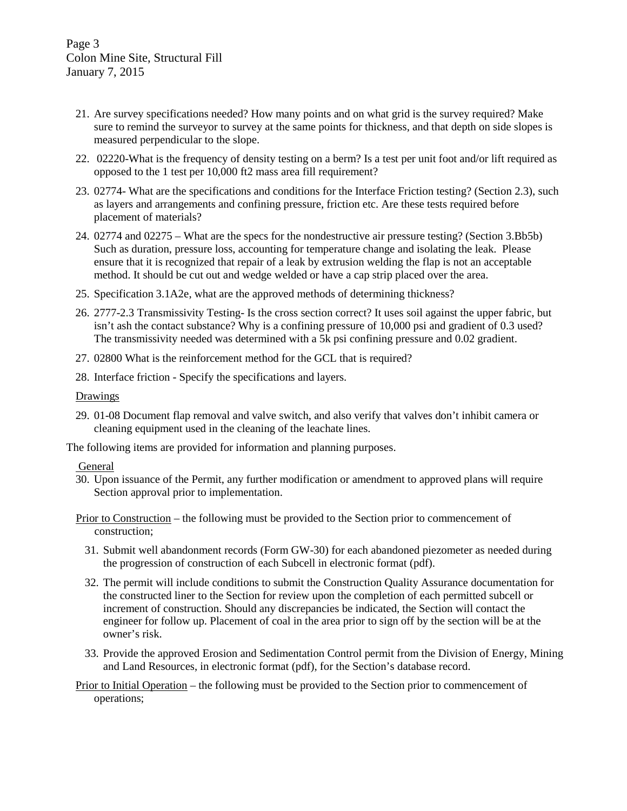- 21. Are survey specifications needed? How many points and on what grid is the survey required? Make sure to remind the surveyor to survey at the same points for thickness, and that depth on side slopes is measured perpendicular to the slope.
- 22. 02220-What is the frequency of density testing on a berm? Is a test per unit foot and/or lift required as opposed to the 1 test per 10,000 ft2 mass area fill requirement?
- 23. 02774- What are the specifications and conditions for the Interface Friction testing? (Section 2.3), such as layers and arrangements and confining pressure, friction etc. Are these tests required before placement of materials?
- 24. 02774 and 02275 What are the specs for the nondestructive air pressure testing? (Section 3.Bb5b) Such as duration, pressure loss, accounting for temperature change and isolating the leak. Please ensure that it is recognized that repair of a leak by extrusion welding the flap is not an acceptable method. It should be cut out and wedge welded or have a cap strip placed over the area.
- 25. Specification 3.1A2e, what are the approved methods of determining thickness?
- 26. 2777-2.3 Transmissivity Testing- Is the cross section correct? It uses soil against the upper fabric, but isn't ash the contact substance? Why is a confining pressure of 10,000 psi and gradient of 0.3 used? The transmissivity needed was determined with a 5k psi confining pressure and 0.02 gradient.
- 27. 02800 What is the reinforcement method for the GCL that is required?
- 28. Interface friction Specify the specifications and layers.

#### Drawings

29. 01-08 Document flap removal and valve switch, and also verify that valves don't inhibit camera or cleaning equipment used in the cleaning of the leachate lines.

The following items are provided for information and planning purposes.

### General

- 30. Upon issuance of the Permit, any further modification or amendment to approved plans will require Section approval prior to implementation.
- Prior to Construction the following must be provided to the Section prior to commencement of construction;
	- 31. Submit well abandonment records (Form GW-30) for each abandoned piezometer as needed during the progression of construction of each Subcell in electronic format (pdf).
	- 32. The permit will include conditions to submit the Construction Quality Assurance documentation for the constructed liner to the Section for review upon the completion of each permitted subcell or increment of construction. Should any discrepancies be indicated, the Section will contact the engineer for follow up. Placement of coal in the area prior to sign off by the section will be at the owner's risk.
	- 33. Provide the approved Erosion and Sedimentation Control permit from the Division of Energy, Mining and Land Resources, in electronic format (pdf), for the Section's database record.

Prior to Initial Operation – the following must be provided to the Section prior to commencement of operations;